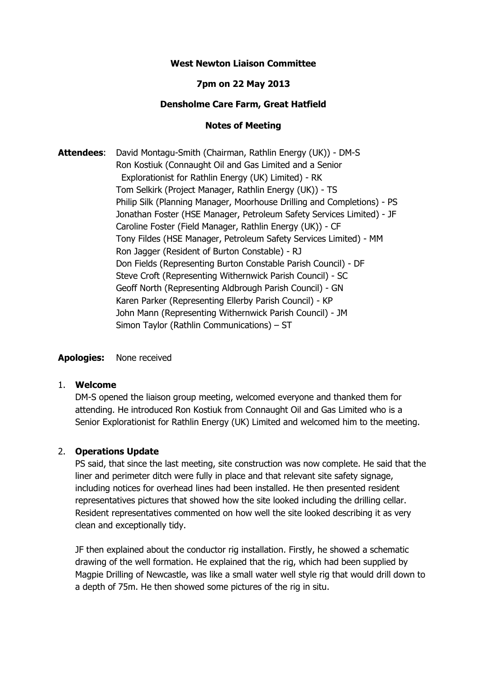### **West Newton Liaison Committee**

## **7pm on 22 May 2013**

### **Densholme Care Farm, Great Hatfield**

### **Notes of Meeting**

**Attendees**: David Montagu-Smith (Chairman, Rathlin Energy (UK)) - DM-S Ron Kostiuk (Connaught Oil and Gas Limited and a Senior Explorationist for Rathlin Energy (UK) Limited) - RK Tom Selkirk (Project Manager, Rathlin Energy (UK)) - TS Philip Silk (Planning Manager, Moorhouse Drilling and Completions) - PS Jonathan Foster (HSE Manager, Petroleum Safety Services Limited) - JF Caroline Foster (Field Manager, Rathlin Energy (UK)) - CF Tony Fildes (HSE Manager, Petroleum Safety Services Limited) - MM Ron Jagger (Resident of Burton Constable) - RJ Don Fields (Representing Burton Constable Parish Council) - DF Steve Croft (Representing Withernwick Parish Council) - SC Geoff North (Representing Aldbrough Parish Council) - GN Karen Parker (Representing Ellerby Parish Council) - KP John Mann (Representing Withernwick Parish Council) - JM Simon Taylor (Rathlin Communications) – ST

#### **Apologies:** None received

#### 1. **Welcome**

DM-S opened the liaison group meeting, welcomed everyone and thanked them for attending. He introduced Ron Kostiuk from Connaught Oil and Gas Limited who is a Senior Explorationist for Rathlin Energy (UK) Limited and welcomed him to the meeting.

#### 2. **Operations Update**

PS said, that since the last meeting, site construction was now complete. He said that the liner and perimeter ditch were fully in place and that relevant site safety signage, including notices for overhead lines had been installed. He then presented resident representatives pictures that showed how the site looked including the drilling cellar. Resident representatives commented on how well the site looked describing it as very clean and exceptionally tidy.

JF then explained about the conductor rig installation. Firstly, he showed a schematic drawing of the well formation. He explained that the rig, which had been supplied by Magpie Drilling of Newcastle, was like a small water well style rig that would drill down to a depth of 75m. He then showed some pictures of the rig in situ.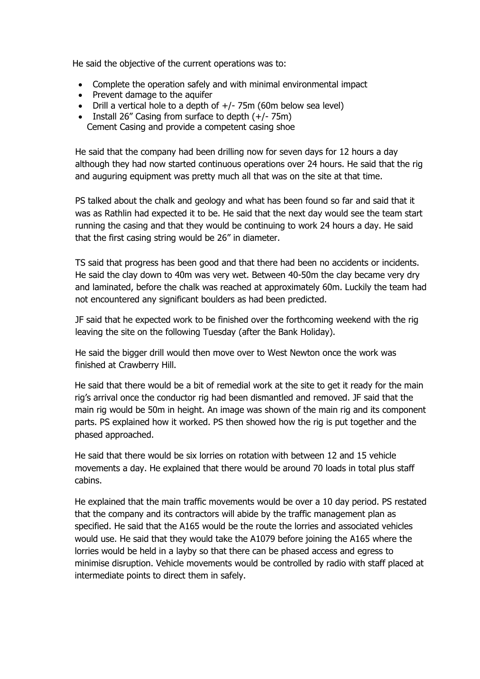He said the objective of the current operations was to:

- Complete the operation safely and with minimal environmental impact
- Prevent damage to the aquifer
- Drill a vertical hole to a depth of  $+/- 75$ m (60m below sea level)
- Install 26" Casing from surface to depth  $(+/- 75m)$ Cement Casing and provide a competent casing shoe

He said that the company had been drilling now for seven days for 12 hours a day although they had now started continuous operations over 24 hours. He said that the rig and auguring equipment was pretty much all that was on the site at that time.

PS talked about the chalk and geology and what has been found so far and said that it was as Rathlin had expected it to be. He said that the next day would see the team start running the casing and that they would be continuing to work 24 hours a day. He said that the first casing string would be 26" in diameter.

TS said that progress has been good and that there had been no accidents or incidents. He said the clay down to 40m was very wet. Between 40-50m the clay became very dry and laminated, before the chalk was reached at approximately 60m. Luckily the team had not encountered any significant boulders as had been predicted.

JF said that he expected work to be finished over the forthcoming weekend with the rig leaving the site on the following Tuesday (after the Bank Holiday).

He said the bigger drill would then move over to West Newton once the work was finished at Crawberry Hill.

 He said that there would be a bit of remedial work at the site to get it ready for the main rig's arrival once the conductor rig had been dismantled and removed. JF said that the main rig would be 50m in height. An image was shown of the main rig and its component parts. PS explained how it worked. PS then showed how the rig is put together and the phased approached.

 He said that there would be six lorries on rotation with between 12 and 15 vehicle movements a day. He explained that there would be around 70 loads in total plus staff cabins.

 He explained that the main traffic movements would be over a 10 day period. PS restated that the company and its contractors will abide by the traffic management plan as specified. He said that the A165 would be the route the lorries and associated vehicles would use. He said that they would take the A1079 before joining the A165 where the lorries would be held in a layby so that there can be phased access and egress to minimise disruption. Vehicle movements would be controlled by radio with staff placed at intermediate points to direct them in safely.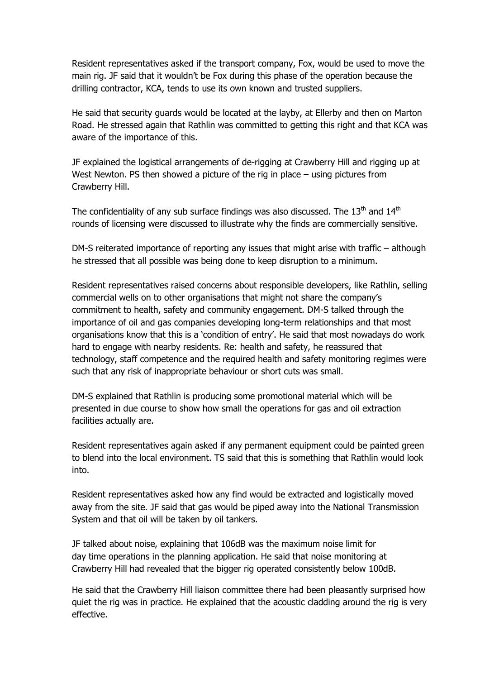Resident representatives asked if the transport company, Fox, would be used to move the main rig. JF said that it wouldn't be Fox during this phase of the operation because the drilling contractor, KCA, tends to use its own known and trusted suppliers.

 He said that security guards would be located at the layby, at Ellerby and then on Marton Road. He stressed again that Rathlin was committed to getting this right and that KCA was aware of the importance of this.

 JF explained the logistical arrangements of de-rigging at Crawberry Hill and rigging up at West Newton. PS then showed a picture of the rig in place – using pictures from Crawberry Hill.

The confidentiality of any sub surface findings was also discussed. The  $13<sup>th</sup>$  and  $14<sup>th</sup>$ rounds of licensing were discussed to illustrate why the finds are commercially sensitive.

 DM-S reiterated importance of reporting any issues that might arise with traffic – although he stressed that all possible was being done to keep disruption to a minimum.

 Resident representatives raised concerns about responsible developers, like Rathlin, selling commercial wells on to other organisations that might not share the company's commitment to health, safety and community engagement. DM-S talked through the importance of oil and gas companies developing long-term relationships and that most organisations know that this is a 'condition of entry'. He said that most nowadays do work hard to engage with nearby residents. Re: health and safety, he reassured that technology, staff competence and the required health and safety monitoring regimes were such that any risk of inappropriate behaviour or short cuts was small.

 DM-S explained that Rathlin is producing some promotional material which will be presented in due course to show how small the operations for gas and oil extraction facilities actually are.

 Resident representatives again asked if any permanent equipment could be painted green to blend into the local environment. TS said that this is something that Rathlin would look into.

 Resident representatives asked how any find would be extracted and logistically moved away from the site. JF said that gas would be piped away into the National Transmission System and that oil will be taken by oil tankers.

 JF talked about noise, explaining that 106dB was the maximum noise limit for day time operations in the planning application. He said that noise monitoring at Crawberry Hill had revealed that the bigger rig operated consistently below 100dB.

 He said that the Crawberry Hill liaison committee there had been pleasantly surprised how quiet the rig was in practice. He explained that the acoustic cladding around the rig is very effective.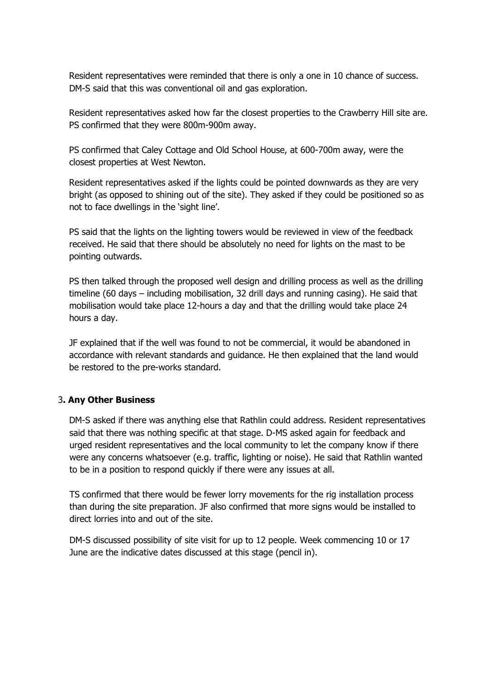Resident representatives were reminded that there is only a one in 10 chance of success. DM-S said that this was conventional oil and gas exploration.

 Resident representatives asked how far the closest properties to the Crawberry Hill site are. PS confirmed that they were 800m-900m away.

 PS confirmed that Caley Cottage and Old School House, at 600-700m away, were the closest properties at West Newton.

 Resident representatives asked if the lights could be pointed downwards as they are very bright (as opposed to shining out of the site). They asked if they could be positioned so as not to face dwellings in the 'sight line'.

 PS said that the lights on the lighting towers would be reviewed in view of the feedback received. He said that there should be absolutely no need for lights on the mast to be pointing outwards.

 PS then talked through the proposed well design and drilling process as well as the drilling timeline (60 days – including mobilisation, 32 drill days and running casing). He said that mobilisation would take place 12-hours a day and that the drilling would take place 24 hours a day.

 JF explained that if the well was found to not be commercial, it would be abandoned in accordance with relevant standards and guidance. He then explained that the land would be restored to the pre-works standard.

## 3**. Any Other Business**

 DM-S asked if there was anything else that Rathlin could address. Resident representatives said that there was nothing specific at that stage. D-MS asked again for feedback and urged resident representatives and the local community to let the company know if there were any concerns whatsoever (e.g. traffic, lighting or noise). He said that Rathlin wanted to be in a position to respond quickly if there were any issues at all.

TS confirmed that there would be fewer lorry movements for the rig installation process than during the site preparation. JF also confirmed that more signs would be installed to direct lorries into and out of the site.

DM-S discussed possibility of site visit for up to 12 people. Week commencing 10 or 17 June are the indicative dates discussed at this stage (pencil in).